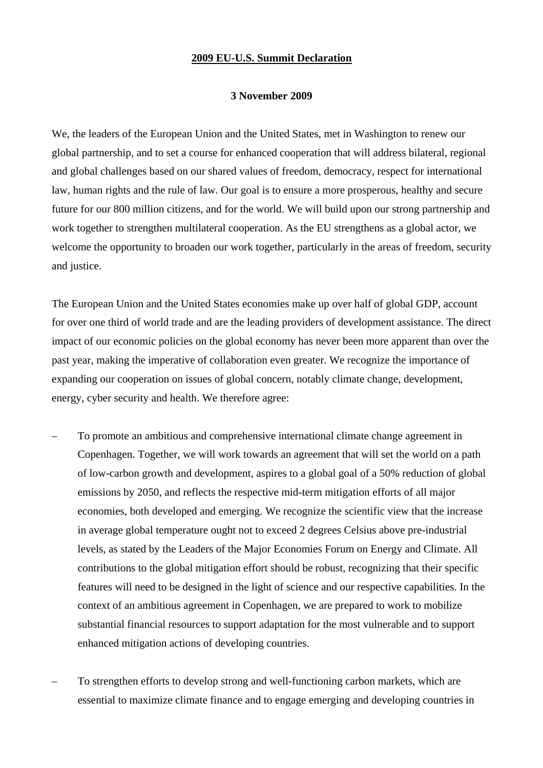## **2009 EU-U.S. Summit Declaration**

## **3 November 2009**

We, the leaders of the European Union and the United States, met in Washington to renew our global partnership, and to set a course for enhanced cooperation that will address bilateral, regional and global challenges based on our shared values of freedom, democracy, respect for international law, human rights and the rule of law. Our goal is to ensure a more prosperous, healthy and secure future for our 800 million citizens, and for the world. We will build upon our strong partnership and work together to strengthen multilateral cooperation. As the EU strengthens as a global actor, we welcome the opportunity to broaden our work together, particularly in the areas of freedom, security and justice.

The European Union and the United States economies make up over half of global GDP, account for over one third of world trade and are the leading providers of development assistance. The direct impact of our economic policies on the global economy has never been more apparent than over the past year, making the imperative of collaboration even greater. We recognize the importance of expanding our cooperation on issues of global concern, notably climate change, development, energy, cyber security and health. We therefore agree:

- To promote an ambitious and comprehensive international climate change agreement in Copenhagen. Together, we will work towards an agreement that will set the world on a path of low-carbon growth and development, aspires to a global goal of a 50% reduction of global emissions by 2050, and reflects the respective mid-term mitigation efforts of all major economies, both developed and emerging. We recognize the scientific view that the increase in average global temperature ought not to exceed 2 degrees Celsius above pre-industrial levels, as stated by the Leaders of the Major Economies Forum on Energy and Climate. All contributions to the global mitigation effort should be robust, recognizing that their specific features will need to be designed in the light of science and our respective capabilities. In the context of an ambitious agreement in Copenhagen, we are prepared to work to mobilize substantial financial resources to support adaptation for the most vulnerable and to support enhanced mitigation actions of developing countries.
- To strengthen efforts to develop strong and well-functioning carbon markets, which are essential to maximize climate finance and to engage emerging and developing countries in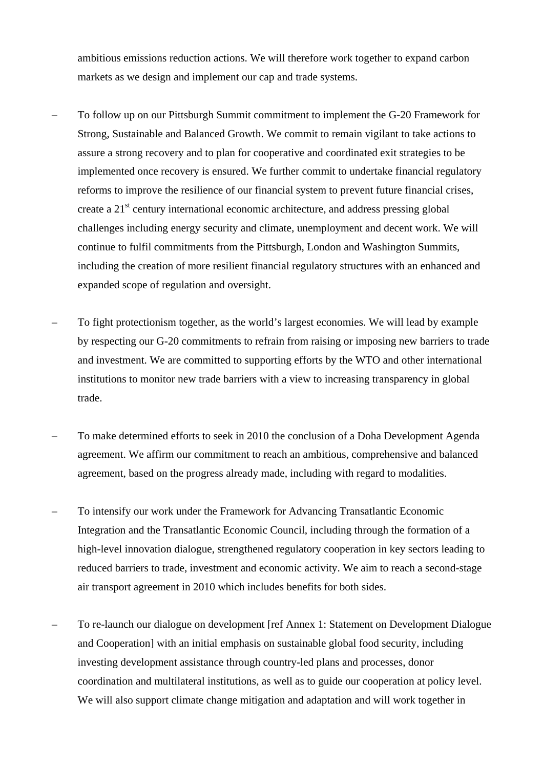ambitious emissions reduction actions. We will therefore work together to expand carbon markets as we design and implement our cap and trade systems.

- To follow up on our Pittsburgh Summit commitment to implement the G-20 Framework for Strong, Sustainable and Balanced Growth. We commit to remain vigilant to take actions to assure a strong recovery and to plan for cooperative and coordinated exit strategies to be implemented once recovery is ensured. We further commit to undertake financial regulatory reforms to improve the resilience of our financial system to prevent future financial crises, create a 21<sup>st</sup> century international economic architecture, and address pressing global challenges including energy security and climate, unemployment and decent work. We will continue to fulfil commitments from the Pittsburgh, London and Washington Summits, including the creation of more resilient financial regulatory structures with an enhanced and expanded scope of regulation and oversight.
- To fight protectionism together, as the world's largest economies. We will lead by example by respecting our G-20 commitments to refrain from raising or imposing new barriers to trade and investment. We are committed to supporting efforts by the WTO and other international institutions to monitor new trade barriers with a view to increasing transparency in global trade.
- To make determined efforts to seek in 2010 the conclusion of a Doha Development Agenda agreement. We affirm our commitment to reach an ambitious, comprehensive and balanced agreement, based on the progress already made, including with regard to modalities.
- To intensify our work under the Framework for Advancing Transatlantic Economic Integration and the Transatlantic Economic Council, including through the formation of a high-level innovation dialogue, strengthened regulatory cooperation in key sectors leading to reduced barriers to trade, investment and economic activity. We aim to reach a second-stage air transport agreement in 2010 which includes benefits for both sides.
- To re-launch our dialogue on development [ref Annex 1: Statement on Development Dialogue and Cooperation] with an initial emphasis on sustainable global food security, including investing development assistance through country-led plans and processes, donor coordination and multilateral institutions, as well as to guide our cooperation at policy level. We will also support climate change mitigation and adaptation and will work together in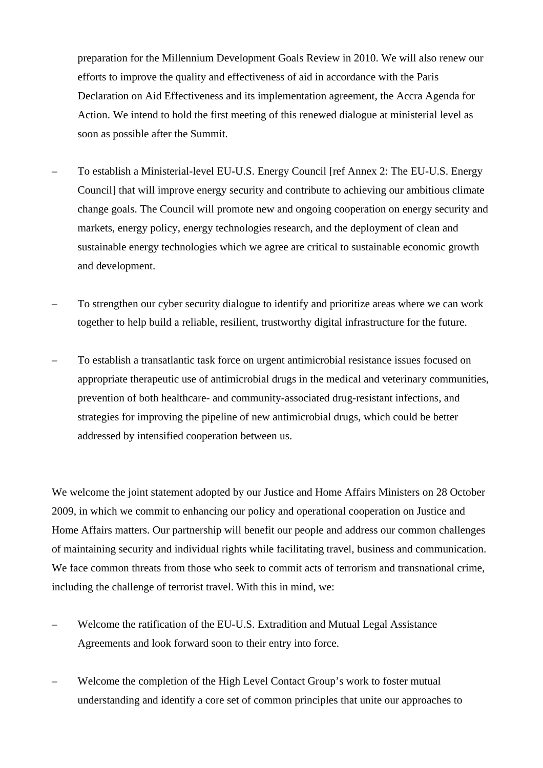preparation for the Millennium Development Goals Review in 2010. We will also renew our efforts to improve the quality and effectiveness of aid in accordance with the Paris Declaration on Aid Effectiveness and its implementation agreement, the Accra Agenda for Action. We intend to hold the first meeting of this renewed dialogue at ministerial level as soon as possible after the Summit.

- To establish a Ministerial-level EU-U.S. Energy Council [ref Annex 2: The EU-U.S. Energy Council] that will improve energy security and contribute to achieving our ambitious climate change goals. The Council will promote new and ongoing cooperation on energy security and markets, energy policy, energy technologies research, and the deployment of clean and sustainable energy technologies which we agree are critical to sustainable economic growth and development.
- To strengthen our cyber security dialogue to identify and prioritize areas where we can work together to help build a reliable, resilient, trustworthy digital infrastructure for the future.
- To establish a transatlantic task force on urgent antimicrobial resistance issues focused on appropriate therapeutic use of antimicrobial drugs in the medical and veterinary communities, prevention of both healthcare- and community-associated drug-resistant infections, and strategies for improving the pipeline of new antimicrobial drugs, which could be better addressed by intensified cooperation between us.

We welcome the joint statement adopted by our Justice and Home Affairs Ministers on 28 October 2009, in which we commit to enhancing our policy and operational cooperation on Justice and Home Affairs matters. Our partnership will benefit our people and address our common challenges of maintaining security and individual rights while facilitating travel, business and communication. We face common threats from those who seek to commit acts of terrorism and transnational crime, including the challenge of terrorist travel. With this in mind, we:

- Welcome the ratification of the EU-U.S. Extradition and Mutual Legal Assistance Agreements and look forward soon to their entry into force.
- Welcome the completion of the High Level Contact Group's work to foster mutual understanding and identify a core set of common principles that unite our approaches to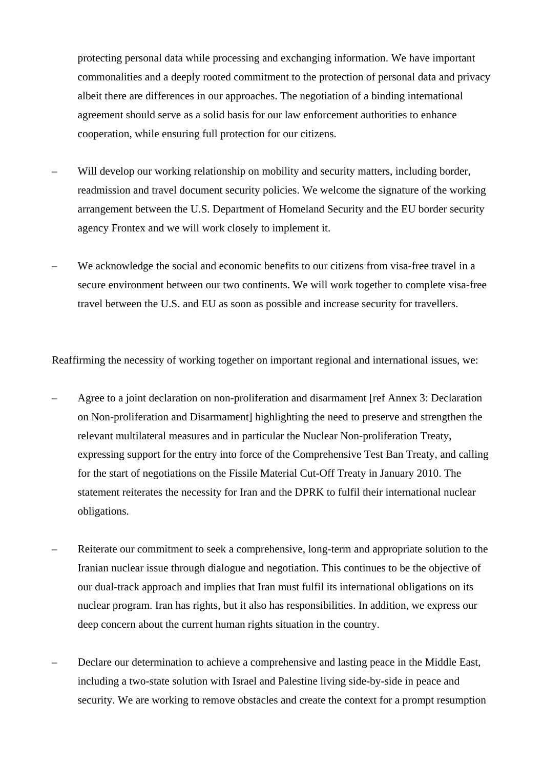protecting personal data while processing and exchanging information. We have important commonalities and a deeply rooted commitment to the protection of personal data and privacy albeit there are differences in our approaches. The negotiation of a binding international agreement should serve as a solid basis for our law enforcement authorities to enhance cooperation, while ensuring full protection for our citizens.

- Will develop our working relationship on mobility and security matters, including border, readmission and travel document security policies. We welcome the signature of the working arrangement between the U.S. Department of Homeland Security and the EU border security agency Frontex and we will work closely to implement it.
- We acknowledge the social and economic benefits to our citizens from visa-free travel in a secure environment between our two continents. We will work together to complete visa-free travel between the U.S. and EU as soon as possible and increase security for travellers.

Reaffirming the necessity of working together on important regional and international issues, we:

- Agree to a joint declaration on non-proliferation and disarmament [ref Annex 3: Declaration on Non-proliferation and Disarmament] highlighting the need to preserve and strengthen the relevant multilateral measures and in particular the Nuclear Non-proliferation Treaty, expressing support for the entry into force of the Comprehensive Test Ban Treaty, and calling for the start of negotiations on the Fissile Material Cut-Off Treaty in January 2010. The statement reiterates the necessity for Iran and the DPRK to fulfil their international nuclear obligations.
- Reiterate our commitment to seek a comprehensive, long-term and appropriate solution to the Iranian nuclear issue through dialogue and negotiation. This continues to be the objective of our dual-track approach and implies that Iran must fulfil its international obligations on its nuclear program. Iran has rights, but it also has responsibilities. In addition, we express our deep concern about the current human rights situation in the country.
- Declare our determination to achieve a comprehensive and lasting peace in the Middle East, including a two-state solution with Israel and Palestine living side-by-side in peace and security. We are working to remove obstacles and create the context for a prompt resumption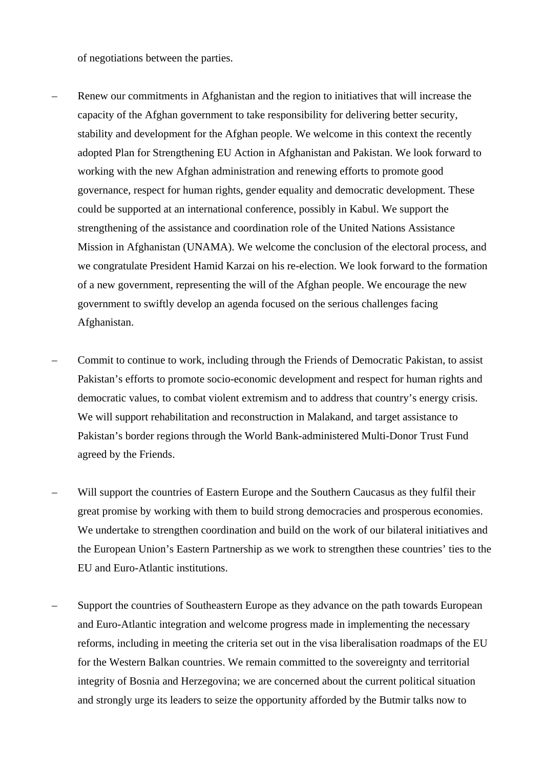of negotiations between the parties.

- Renew our commitments in Afghanistan and the region to initiatives that will increase the capacity of the Afghan government to take responsibility for delivering better security, stability and development for the Afghan people. We welcome in this context the recently adopted Plan for Strengthening EU Action in Afghanistan and Pakistan. We look forward to working with the new Afghan administration and renewing efforts to promote good governance, respect for human rights, gender equality and democratic development. These could be supported at an international conference, possibly in Kabul. We support the strengthening of the assistance and coordination role of the United Nations Assistance Mission in Afghanistan (UNAMA). We welcome the conclusion of the electoral process, and we congratulate President Hamid Karzai on his re-election. We look forward to the formation of a new government, representing the will of the Afghan people. We encourage the new government to swiftly develop an agenda focused on the serious challenges facing Afghanistan.
- Commit to continue to work, including through the Friends of Democratic Pakistan, to assist Pakistan's efforts to promote socio-economic development and respect for human rights and democratic values, to combat violent extremism and to address that country's energy crisis. We will support rehabilitation and reconstruction in Malakand, and target assistance to Pakistan's border regions through the World Bank-administered Multi-Donor Trust Fund agreed by the Friends.
- Will support the countries of Eastern Europe and the Southern Caucasus as they fulfil their great promise by working with them to build strong democracies and prosperous economies. We undertake to strengthen coordination and build on the work of our bilateral initiatives and the European Union's Eastern Partnership as we work to strengthen these countries' ties to the EU and Euro-Atlantic institutions.
- Support the countries of Southeastern Europe as they advance on the path towards European and Euro-Atlantic integration and welcome progress made in implementing the necessary reforms, including in meeting the criteria set out in the visa liberalisation roadmaps of the EU for the Western Balkan countries. We remain committed to the sovereignty and territorial integrity of Bosnia and Herzegovina; we are concerned about the current political situation and strongly urge its leaders to seize the opportunity afforded by the Butmir talks now to